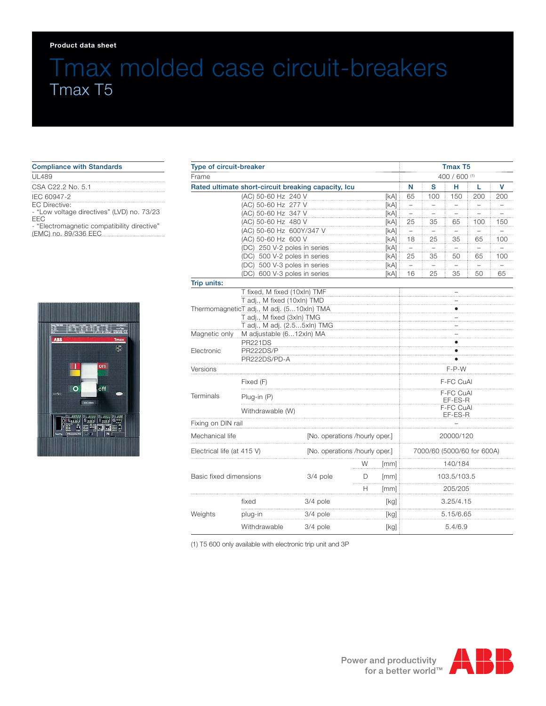#### **Product data sheet**

# Tmax molded case circuit-breakers Tmax T5

| <b>Compliance with Standards</b>                                                                                                                         |  |  |  |  |  |  |  |
|----------------------------------------------------------------------------------------------------------------------------------------------------------|--|--|--|--|--|--|--|
| UL489                                                                                                                                                    |  |  |  |  |  |  |  |
| CSA C22.2 No. 5.1                                                                                                                                        |  |  |  |  |  |  |  |
| IEC 60947-2<br>FC Directive:<br>- "Low voltage directives" (LVD) no. 73/23<br>FFC<br>- "Electromagnetic compatibility directive"<br>(EMC) no. 89/336 EEC |  |  |  |  |  |  |  |



| Type of circuit-breaker                                      |                                                             |                                |        |                   | Tmax T5                    |                |               |                |                 |  |
|--------------------------------------------------------------|-------------------------------------------------------------|--------------------------------|--------|-------------------|----------------------------|----------------|---------------|----------------|-----------------|--|
| Frame                                                        |                                                             |                                |        |                   | 400 / 600 (1)              |                |               |                |                 |  |
| Rated ultimate short-circuit breaking capacity, Icu          |                                                             |                                |        |                   | N                          | s              | н             | L              | v               |  |
|                                                              | (AC) 50-60 Hz 240 V                                         |                                |        | [KA]              | 65                         | 100            | 150           | 200            | 200             |  |
|                                                              | (AC) 50-60 Hz 277 V                                         |                                |        | [KA]              | $\overline{a}$             | $\pm$          | $\pm$         | Ξ.             | . <del></del> . |  |
|                                                              | (AC) 50-60 Hz 347 V                                         |                                |        | [kA]              | Ξ.                         | .              | .             |                |                 |  |
|                                                              | (AC) 50-60 Hz 480 V                                         |                                |        | [kA]              | 25                         | 35             | 65            | 100            | 150             |  |
| (AC) 50-60 Hz 600Y/347 V                                     |                                                             |                                |        | [kA]              | $\pm$                      | $\overline{a}$ | $\pm$         | $\overline{a}$ | $\overline{a}$  |  |
| (AC) 50-60 Hz 600 V                                          |                                                             |                                |        | [kA]              | 18                         | 25             | 35            | 65             | 100             |  |
| (DC) 250 V-2 poles in series                                 |                                                             |                                |        | [KA]              |                            |                | . <del></del> |                | .               |  |
| (DC) 500 V-2 poles in series<br>(DC) 500 V-3 poles in series |                                                             |                                |        | [kA]              | 25                         | 35             | 50            | 65             | 100             |  |
|                                                              |                                                             |                                |        | [kA]              | $\pm$                      |                |               |                |                 |  |
| Trip units:                                                  | (DC) 600 V-3 poles in series                                |                                |        | [kA] :            | 16                         | 25             | 35            | 50             | 65              |  |
|                                                              |                                                             |                                |        |                   |                            |                |               |                |                 |  |
|                                                              | T fixed, M fixed (10xln) TMF<br>T adj., M fixed (10xln) TMD |                                |        |                   |                            |                |               |                |                 |  |
| ThermomagneticT adj., M adj. (510xln) TMA                    |                                                             |                                |        |                   |                            |                |               |                |                 |  |
| T adj., M fixed (3xln) TMG                                   |                                                             |                                |        |                   |                            |                |               |                |                 |  |
|                                                              | T adj., M adj. (2.55xln) TMG                                |                                |        |                   |                            |                |               |                |                 |  |
| M adjustable (612xln) MA<br>Magnetic only                    |                                                             |                                |        |                   |                            |                |               |                |                 |  |
|                                                              | <b>PR221DS</b>                                              |                                |        |                   |                            |                |               |                |                 |  |
| Electronic                                                   | PR222DS/P                                                   |                                |        |                   |                            |                |               |                |                 |  |
|                                                              | PR222DS/PD-A                                                |                                |        |                   |                            |                |               |                |                 |  |
| Versions                                                     |                                                             |                                |        |                   | F-P-W                      |                |               |                |                 |  |
| Terminals                                                    | Fixed (F)                                                   |                                |        |                   | F-FC CuAl                  |                |               |                |                 |  |
|                                                              | Plug-in (P)                                                 |                                |        |                   | F-FC CuAL<br>EF-ES-R       |                |               |                |                 |  |
|                                                              | Withdrawable (W)                                            |                                |        |                   | F-FC CuAl<br>EF-ES-R       |                |               |                |                 |  |
| Fixing on DIN rail                                           |                                                             |                                |        |                   |                            |                |               |                |                 |  |
| Mechanical life                                              |                                                             | [No. operations /hourly oper.] |        |                   | 20000/120                  |                |               |                |                 |  |
| Electrical life (at 415 V)                                   |                                                             | [No. operations /hourly oper.] |        |                   | 7000/60 (5000/60 for 600A) |                |               |                |                 |  |
|                                                              |                                                             |                                | W      | [mm]              | 140/184                    |                |               |                |                 |  |
| Basic fixed dimensions                                       |                                                             | 3/4 pole                       | D<br>. | [mm]              |                            | 103.5/103.5    |               |                |                 |  |
|                                                              |                                                             |                                | н      | [mm]              |                            |                | 205/205       |                |                 |  |
| Weights                                                      | fixed                                                       | 3/4 pole                       |        | 3.25/4.15<br>[kg] |                            |                |               |                |                 |  |
|                                                              | plug-in                                                     | 3/4 pole                       |        | [kg]<br>5.15/6.65 |                            |                |               |                |                 |  |
|                                                              | Withdrawable                                                | 3/4 pole                       |        | [kg]              | 5.4/6.9                    |                |               |                |                 |  |

(1) T5 600 only available with electronic trip unit and 3P

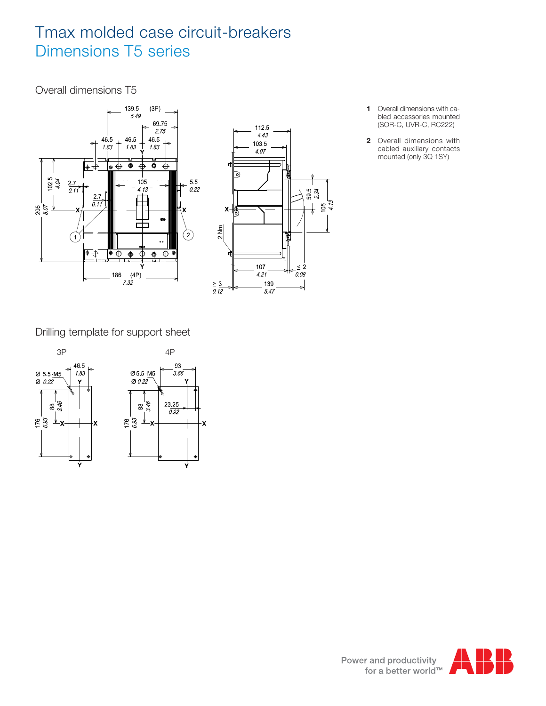# Tmax molded case circuit-breakers Dimensions T5 series

### Overall dimensions T5



- **1** Overall dimensions with cabled accessories mounted (SOR-C, UVR-C, RC222)
- **2** Overall dimensions with cabled auxiliary contacts mounted (only 3Q 1SY)

Drilling template for support sheet